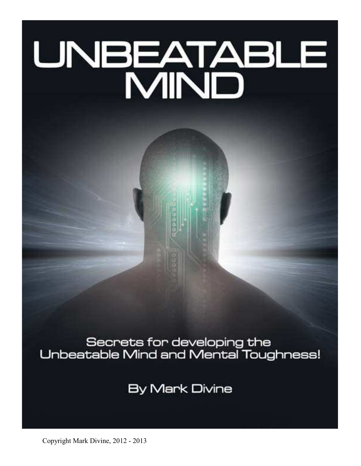# UNBEATABLE<br>MIND

Secrets for developing the<br>Unbeatable Mind and Mental Toughness!

**By Mark Divine** 

Copyright Mark Divine, 2012 - 2013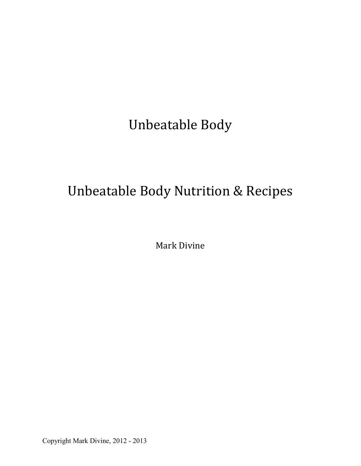# Unbeatable Body

# Unbeatable Body Nutrition & Recipes

Mark Divine

Copyright Mark Divine, 2012 - 2013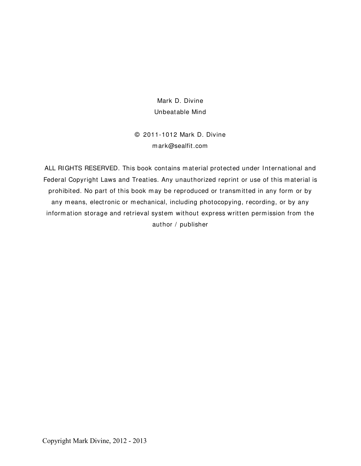Mark D. Divine Unbeatable Mind

© 2011-1012 Mark D. Divine m ark@sealfit.com

ALL RI GHTS RESERVED. This book contains m aterial protected under International and Federal Copyright Laws and Treaties. Any unauthorized reprint or use of this material is prohibited. No part of this book may be reproduced or transmitted in any form or by any means, electronic or mechanical, including photocopying, recording, or by any information storage and retrieval system without express written permission from the author / publisher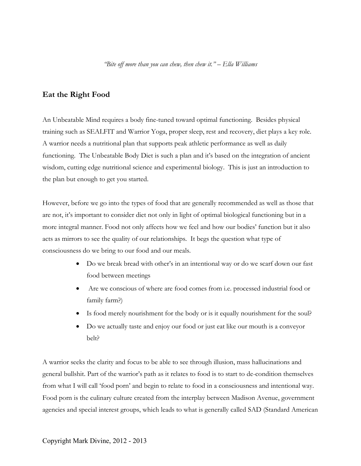# **Eat the Right Food**

An Unbeatable Mind requires a body fine-tuned toward optimal functioning. Besides physical training such as SEALFIT and Warrior Yoga, proper sleep, rest and recovery, diet plays a key role. A warrior needs a nutritional plan that supports peak athletic performance as well as daily functioning. The Unbeatable Body Diet is such a plan and it's based on the integration of ancient wisdom, cutting edge nutritional science and experimental biology. This is just an introduction to the plan but enough to get you started.

However, before we go into the types of food that are generally recommended as well as those that are not, it's important to consider diet not only in light of optimal biological functioning but in a more integral manner. Food not only affects how we feel and how our bodies' function but it also acts as mirrors to see the quality of our relationships. It begs the question what type of consciousness do we bring to our food and our meals.

- Do we break bread with other's in an intentional way or do we scarf down our fast food between meetings
- Are we conscious of where are food comes from i.e. processed industrial food or family farm?)
- Is food merely nourishment for the body or is it equally nourishment for the soul?
- Do we actually taste and enjoy our food or just eat like our mouth is a conveyor belt?

A warrior seeks the clarity and focus to be able to see through illusion, mass hallucinations and general bullshit. Part of the warrior's path as it relates to food is to start to de-condition themselves from what I will call 'food porn' and begin to relate to food in a consciousness and intentional way. Food porn is the culinary culture created from the interplay between Madison Avenue, government agencies and special interest groups, which leads to what is generally called SAD (Standard American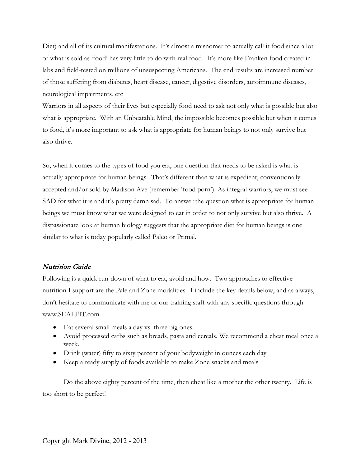Diet) and all of its cultural manifestations. It's almost a misnomer to actually call it food since a lot of what is sold as 'food' has very little to do with real food. It's more like Franken food created in labs and field-tested on millions of unsuspecting Americans. The end results are increased number of those suffering from diabetes, heart disease, cancer, digestive disorders, autoimmune diseases, neurological impairments, etc

Warriors in all aspects of their lives but especially food need to ask not only what is possible but also what is appropriate. With an Unbeatable Mind, the impossible becomes possible but when it comes to food, it's more important to ask what is appropriate for human beings to not only survive but also thrive.

So, when it comes to the types of food you eat, one question that needs to be asked is what is actually appropriate for human beings. That's different than what is expedient, conventionally accepted and/or sold by Madison Ave (remember 'food porn'). As integral warriors, we must see SAD for what it is and it's pretty damn sad. To answer the question what is appropriate for human beings we must know what we were designed to eat in order to not only survive but also thrive. A dispassionate look at human biology suggests that the appropriate diet for human beings is one similar to what is today popularly called Paleo or Primal.

#### Nutrition Guide

Following is a quick run-down of what to eat, avoid and how. Two approaches to effective nutrition I support are the Pale and Zone modalities. I include the key details below, and as always, don't hesitate to communicate with me or our training staff with any specific questions through www.SEALFIT.com.

- Eat several small meals a day vs. three big ones
- Avoid processed carbs such as breads, pasta and cereals. We recommend a cheat meal once a week.
- Drink (water) fifty to sixty percent of your bodyweight in ounces each day
- Keep a ready supply of foods available to make Zone snacks and meals

Do the above eighty percent of the time, then cheat like a mother the other twenty. Life is too short to be perfect!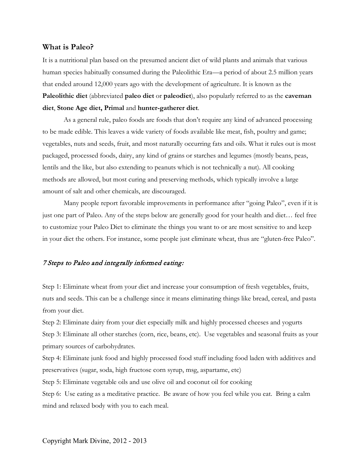#### **What is Paleo?**

It is a nutritional plan based on the presumed ancient diet of wild plants and animals that various human species habitually consumed during the Paleolithic Era—a period of about 2.5 million years that ended around 12,000 years ago with the development of agriculture. It is known as the **Paleolithic diet** (abbreviated **paleo diet** or **paleodiet**), also popularly referred to as the **caveman diet**, **Stone Age diet, Primal** and **hunter-gatherer diet**.

As a general rule, paleo foods are foods that don't require any kind of advanced processing to be made edible. This leaves a wide variety of foods available like meat, fish, poultry and game; vegetables, nuts and seeds, fruit, and most naturally occurring fats and oils. What it rules out is most packaged, processed foods, dairy, any kind of grains or starches and legumes (mostly beans, peas, lentils and the like, but also extending to peanuts which is not technically a nut). All cooking methods are allowed, but most curing and preserving methods, which typically involve a large amount of salt and other chemicals, are discouraged.

Many people report favorable improvements in performance after "going Paleo", even if it is just one part of Paleo. Any of the steps below are generally good for your health and diet… feel free to customize your Paleo Diet to eliminate the things you want to or are most sensitive to and keep in your diet the others. For instance, some people just eliminate wheat, thus are "gluten-free Paleo".

#### 7 Steps to Paleo and integrally informed eating:

Step 1: Eliminate wheat from your diet and increase your consumption of fresh vegetables, fruits, nuts and seeds. This can be a challenge since it means eliminating things like bread, cereal, and pasta from your diet.

Step 2: Eliminate dairy from your diet especially milk and highly processed cheeses and yogurts Step 3: Eliminate all other starches (corn, rice, beans, etc). Use vegetables and seasonal fruits as your primary sources of carbohydrates.

Step 4: Eliminate junk food and highly processed food stuff including food laden with additives and preservatives (sugar, soda, high fructose corn syrup, msg, aspartame, etc)

Step 5: Eliminate vegetable oils and use olive oil and coconut oil for cooking

Step 6: Use eating as a meditative practice. Be aware of how you feel while you eat. Bring a calm mind and relaxed body with you to each meal.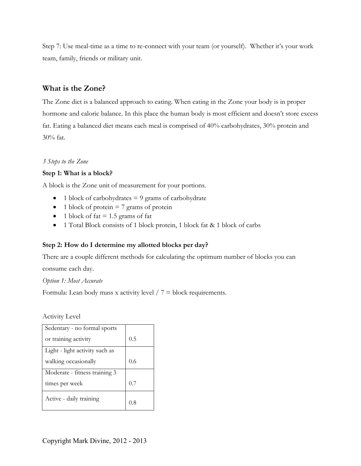Step 7: Use meal-time as a time to re-connect with your team (or yourself). Whether it's your work team, family, friends or military unit.

# **What is the Zone?**

The Zone diet is a balanced approach to eating. When eating in the Zone your body is in proper hormone and caloric balance. In this place the human body is most efficient and doesn't store excess fat. Eating a balanced diet means each meal is comprised of 40% carbohydrates, 30% protein and 30% fat.

# *3 Steps to the Zone*

# **Step 1: What is a block?**

A block is the Zone unit of measurement for your portions.

- 1 block of carbohydrates  $= 9$  grams of carbohydrate
- $\bullet$  1 block of protein  $= 7$  grams of protein
- 1 block of fat  $= 1.5$  grams of fat
- 1 Total Block consists of 1 block protein, 1 block fat & 1 block of carbs

# **Step 2: How do I determine my allotted blocks per day?**

There are a couple different methods for calculating the optimum number of blocks you can

consume each day.

*Option 1: Most Accurate* 

Formula: Lean body mass x activity level  $/ 7 =$  block requirements.

Activity Level

| Sedentary - no formal sports   |     |
|--------------------------------|-----|
| or training activity           | 0.5 |
| Light - light activity such as |     |
| walking occasionally           | 0.6 |
| Moderate - fitness training 3  |     |
| times per week                 | 0.7 |
| Active - daily training        | 0 ጸ |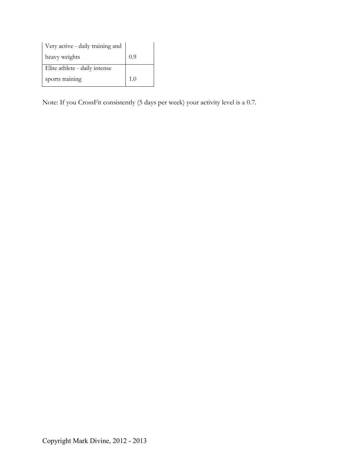| Very active - daily training and |     |
|----------------------------------|-----|
| heavy weights                    | 0.9 |
| Elite athlete - daily intense    |     |
| sports training                  | 1.0 |

Note: If you CrossFit consistently (5 days per week) your activity level is a 0.7.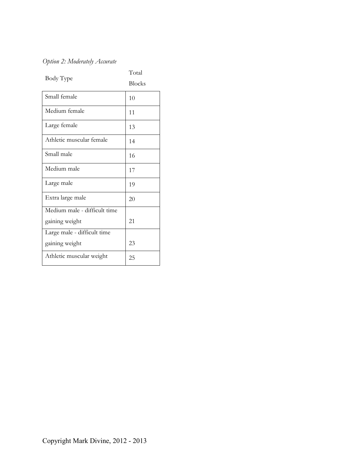# *Option 2: Moderately Accurate*

| Body Type                    | Total<br><b>Blocks</b> |
|------------------------------|------------------------|
| Small female                 | 10                     |
| Medium female                | 11                     |
| Large female                 | 13                     |
| Athletic muscular female     | 14                     |
| Small male                   | 16                     |
| Medium male                  | 17                     |
| Large male                   | 19                     |
| Extra large male             | 20                     |
| Medium male - difficult time |                        |
| gaining weight               | 21                     |
| Large male - difficult time  |                        |
| gaining weight               | 23                     |
| Athletic muscular weight     | 25                     |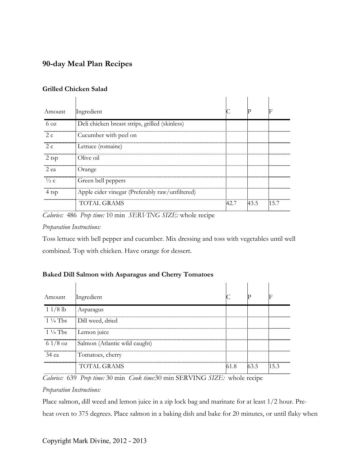# **90-day Meal Plan Recipes**

#### **Grilled Chicken Salad**

| Amount              | Ingredient                                      |      |      |     |
|---------------------|-------------------------------------------------|------|------|-----|
| $6\,\text{oz}$      | Deli chicken breast strips, grilled (skinless)  |      |      |     |
| <br>2 c             | Cucumber with peel on                           |      |      |     |
| 2. $\epsilon$       | Lettuce (romaine)                               |      |      |     |
| 2 tsp               | Olive oil                                       |      |      |     |
| <br>2 ea            | Orange                                          |      |      |     |
| <br>$\frac{1}{2}$ C | Green bell peppers                              |      |      |     |
| 4 tsp               | Apple cider vinegar (Preferably raw/unfiltered) |      |      |     |
|                     | TOTAL GRAMS                                     | 42.7 | 43.5 | 157 |
|                     |                                                 |      |      |     |

*Calories:* 486 *Prep time:* 10 min *SERVING SIZE:* whole recipe

#### *Preparation Instructions:*

Toss lettuce with bell pepper and cucumber. Mix dressing and toss with vegetables until well combined. Top with chicken. Have orange for dessert.

# **Baked Dill Salmon with Asparagus and Cherry Tomatoes**

| Amount                 | Ingredient                    |      |      |        |
|------------------------|-------------------------------|------|------|--------|
| $11/8$ lb              | Asparagus                     |      |      |        |
| $1\frac{1}{4}$ Tbs     | <br>Dill weed, dried          |      |      |        |
| $1\frac{1}{4}$ Tbs<br> | Lemon juice                   |      |      |        |
| $61/8$ oz<br>          | Salmon (Atlantic wild caught) |      |      |        |
| 34 еа                  | Tomatoes, cherry              |      |      |        |
|                        | TOTAL GRAMS                   | 61.8 | 63.5 | 11.5.3 |

*Calories:* 639 *Prep time:* 30 min *Cook time:*30 min SERVING *SIZE:* whole recipe

#### *Preparation Instructions:*

Place salmon, dill weed and lemon juice in a zip lock bag and marinate for at least 1/2 hour. Preheat oven to 375 degrees. Place salmon in a baking dish and bake for 20 minutes, or until flaky when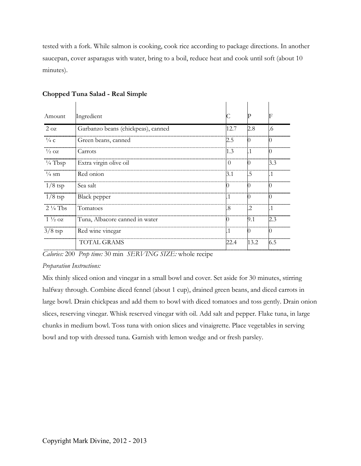tested with a fork. While salmon is cooking, cook rice according to package directions. In another saucepan, cover asparagus with water, bring to a boil, reduce heat and cook until soft (about 10 minutes).

| Amount             | Ingredient                         |      |      |     |
|--------------------|------------------------------------|------|------|-----|
| $2 \text{ oz}$     | Garbanzo beans (chickpeas), canned | 12.7 | 2.8  | 6   |
| $\frac{1}{4}$ C    | Green beans, canned                | 2.5  |      |     |
| $\frac{1}{2}$ OZ   | Carrots                            | 1.3  |      |     |
| $\frac{1}{4}$ Tbsp | Extra virgin olive oil             |      |      | 3.3 |
| $\frac{1}{4}$ sm   | Red onion                          | 3.1  | .5   |     |
| <br>$1/8$ tsp      | Sea salt                           |      |      |     |
| $1/8$ tsp          | <b>Black</b> pepper                |      |      |     |
| $2\frac{1}{4}$ Tbs | Tomatoes                           | 8    | .2   |     |
| $1\frac{1}{2}$ oz  | Tuna, Albacore canned in water     |      | 9.1  | 2.3 |
| $3/8$ tsp          | Red wine vinegar                   | Ί    |      |     |
|                    | <b>TOTAL GRAMS</b>                 | 22.4 | 13.2 | 6.5 |

# **Chopped Tuna Salad - Real Simple**

*Calories:* 200 *Prep time:* 30 min *SERVING SIZE:* whole recipe

#### *Preparation Instructions:*

Mix thinly sliced onion and vinegar in a small bowl and cover. Set aside for 30 minutes, stirring halfway through. Combine diced fennel (about 1 cup), drained green beans, and diced carrots in large bowl. Drain chickpeas and add them to bowl with diced tomatoes and toss gently. Drain onion slices, reserving vinegar. Whisk reserved vinegar with oil. Add salt and pepper. Flake tuna, in large chunks in medium bowl. Toss tuna with onion slices and vinaigrette. Place vegetables in serving bowl and top with dressed tuna. Garnish with lemon wedge and or fresh parsley.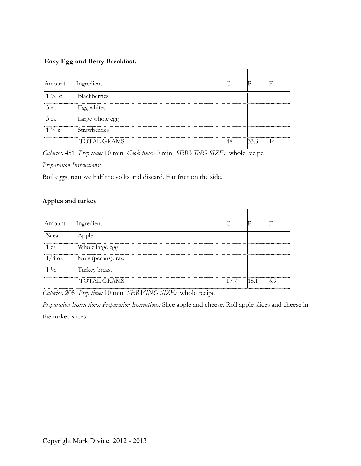# **Easy Egg and Berry Breakfast.**

| Amount           | Ingredient          |  |  |
|------------------|---------------------|--|--|
| $1\frac{3}{4}$ c | <b>Blackberries</b> |  |  |
| 3 ea             | Egg whites          |  |  |
| 3 ea             | Large whole egg     |  |  |
| $1\frac{3}{4}$ c | <b>Strawberries</b> |  |  |
|                  | TOTAL GRAMS         |  |  |

*Calories:* 451 *Prep time:* 10 min *Cook time:*10 min *SERVING SIZE:* whole recipe

*Preparation Instructions:*

Boil eggs, remove half the yolks and discard. Eat fruit on the side.

### **Apples and turkey**

| Amount           | Ingredient         |     |  |
|------------------|--------------------|-----|--|
| $\frac{3}{4}$ ea |                    |     |  |
| 1 ea             | Whole large egg    |     |  |
| $1/8$ oz         | Nuts (pecans), raw |     |  |
| $1\frac{1}{2}$   | Turkey breast      |     |  |
|                  | TOTAL GRAMS        | 181 |  |

*Calories:* 205 *Prep time:* 10 min *SERVING SIZE:* whole recipe

*Preparation Instructions: Preparation Instructions:* Slice apple and cheese. Roll apple slices and cheese in the turkey slices.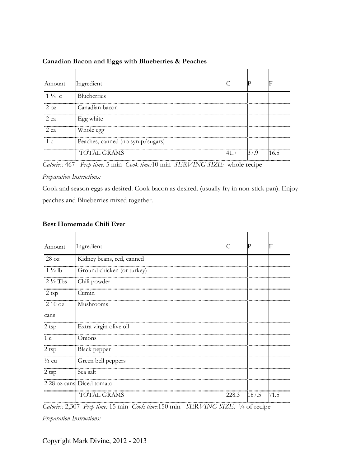| Amount           | Ingredient                        |      |       |      |
|------------------|-----------------------------------|------|-------|------|
| $1\frac{1}{4}$ c | <b>Blueberries</b>                |      |       |      |
| $2 \Omega$<br>   | Canadian bacon                    |      |       |      |
| 2 ea             | Egg white                         |      |       |      |
| 2 ea             | Whole egg                         |      |       |      |
|                  | Peaches, canned (no syrup/sugars) |      |       |      |
|                  | TOTAL GRAMS                       | 41.7 | 137 Q | 16 ካ |

#### **Canadian Bacon and Eggs with Blueberries & Peaches**

*Calories:* 467 *Prep time:* 5 min *Cook time:*10 min *SERVING SIZE:* whole recipe

#### *Preparation Instructions:*

Cook and season eggs as desired. Cook bacon as desired. (usually fry in non-stick pan). Enjoy peaches and Blueberries mixed together.

#### **Best Homemade Chili Ever**

| Amount             | Ingredient                 |       | р     | F    |
|--------------------|----------------------------|-------|-------|------|
| 28 oz              | Kidney beans, red, canned  |       |       |      |
| $1\frac{1}{2}$ lb  | Ground chicken (or turkey) |       |       |      |
| $2\frac{1}{2}$ Tbs | Chili powder               |       |       |      |
| 2 tsp              | Cumin                      |       |       |      |
| 210 oz             | Mushrooms                  |       |       |      |
| cans               |                            |       |       |      |
| 2 tsp              | Extra virgin olive oil     |       |       |      |
| 1 c                | Onions                     |       |       |      |
| 2 tsp              | Black pepper               |       |       |      |
| $\frac{1}{2}$ cu   | Green bell peppers         |       |       |      |
| $2$ tsp            | Sea salt                   |       |       |      |
|                    | 2 28 oz cans Diced tomato  |       |       |      |
|                    | <b>TOTAL GRAMS</b>         | 228.3 | 187.5 | 71.5 |
|                    |                            |       |       |      |

*Calories:* 2,307 *Prep time:* 15 min *Cook time:*150 min *SERVING SIZE:* ¼ of recipe

*Preparation Instructions:*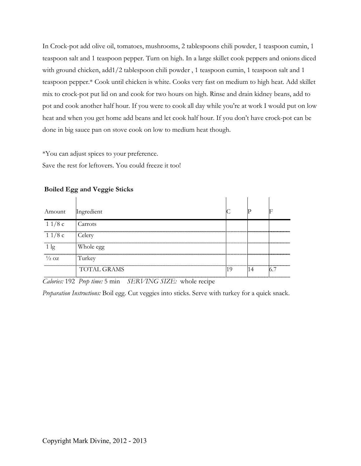In Crock-pot add olive oil, tomatoes, mushrooms, 2 tablespoons chili powder, 1 teaspoon cumin, 1 teaspoon salt and 1 teaspoon pepper. Turn on high. In a large skillet cook peppers and onions diced with ground chicken, add1/2 tablespoon chili powder , 1 teaspoon cumin, 1 teaspoon salt and 1 teaspoon pepper.\* Cook until chicken is white. Cooks very fast on medium to high heat. Add skillet mix to crock-pot put lid on and cook for two hours on high. Rinse and drain kidney beans, add to pot and cook another half hour. If you were to cook all day while you're at work I would put on low heat and when you get home add beans and let cook half hour. If you don't have crock-pot can be done in big sauce pan on stove cook on low to medium heat though.

\*You can adjust spices to your preference. Save the rest for leftovers. You could freeze it too!

| Amount           | Ingredient         |  |  |
|------------------|--------------------|--|--|
| 11/8c            | Carrots            |  |  |
| 11/8c            | Celery             |  |  |
|                  | Whole egg          |  |  |
| $\frac{1}{2}$ OZ | Turkey             |  |  |
|                  | <b>TOTAL GRAMS</b> |  |  |

# **Boiled Egg and Veggie Sticks**

*Calories:* 192 *Prep time:* 5 min *SERVING SIZE:* whole recipe

*Preparation Instructions:* Boil egg. Cut veggies into sticks. Serve with turkey for a quick snack.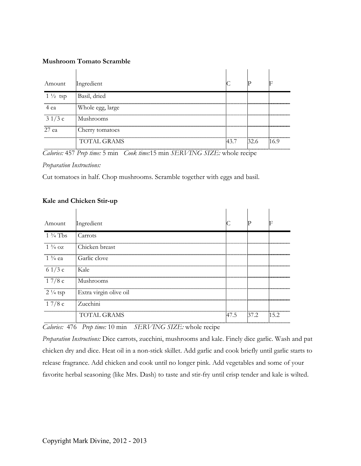#### **Mushroom Tomato Scramble**

| Amount             | Ingredient       |      |  |
|--------------------|------------------|------|--|
| $1\frac{1}{2}$ tsp | Basil, dried     |      |  |
| 4 ea               | Whole egg, large |      |  |
| 31/3c              | Mushrooms        |      |  |
| 27 ea              | Cherry tomatoes  |      |  |
|                    | TOTAL GRAMS      | 43 7 |  |

*Calories:* 457 *Prep time:* 5 min *Cook time:*15 min *SERVING SIZE:* whole recipe

*Preparation Instructions:*

Cut tomatoes in half. Chop mushrooms. Scramble together with eggs and basil.

#### **Kale and Chicken Stir-up**

| Amount             | <b>Ingredient</b>      |      |      |    |
|--------------------|------------------------|------|------|----|
| $1\frac{3}{4}$ Tbs | Carrots                |      |      |    |
| $1\frac{3}{4}$ OZ  | l Chicken breast       |      |      |    |
| $1\frac{3}{4}$ ea  | Garlic clove           |      |      |    |
| 6 $1/3c$           | - Kale                 |      |      |    |
| 17/8c              | Mushrooms              |      |      |    |
| $2\frac{1}{4}$ tsp | Extra virgin olive oil |      |      |    |
| 17/8c              | l Zucchini             |      |      |    |
|                    | TOTAL GRAMS            | 47.5 | 37.2 | 52 |

*Calories:* 476 *Prep time:* 10 min *SERVING SIZE:* whole recipe

*Preparation Instructions:* Dice carrots, zucchini, mushrooms and kale. Finely dice garlic. Wash and pat chicken dry and dice. Heat oil in a non-stick skillet. Add garlic and cook briefly until garlic starts to release fragrance. Add chicken and cook until no longer pink. Add vegetables and some of your favorite herbal seasoning (like Mrs. Dash) to taste and stir-fry until crisp tender and kale is wilted.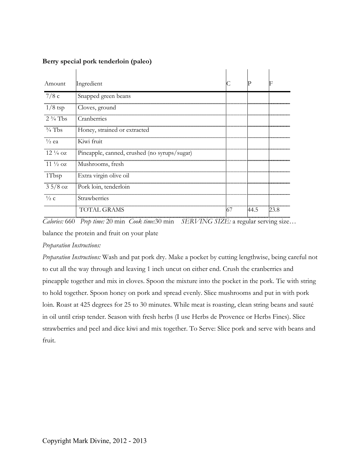| Amount             | Ingredient                                   |      |      |
|--------------------|----------------------------------------------|------|------|
| 7/8c               | Snapped green beans                          |      |      |
| <br>$1/8$ tsp      | Cloves, ground                               |      |      |
| $2\frac{3}{4}$ Tbs | Cranberries                                  |      |      |
| $\frac{3}{4}$ Tbs  | Honey, strained or extracted                 |      |      |
| $\frac{1}{2}$ ea   | Kiwi fruit                                   |      |      |
| $12\frac{1}{4}$ oz | Pineapple, canned, crushed (no syrups/sugar) |      |      |
| $11\frac{1}{2}$ oz | Mushrooms, fresh                             |      |      |
| 1Tbsp              | Extra virgin olive oil                       |      |      |
| $35/8$ oz          | Pork loin, tenderloin                        |      |      |
| $\frac{1}{2}$ C    | Strawberries                                 |      |      |
|                    | TOTAL GRAMS                                  | 44.5 | 23.8 |

#### **Berry special pork tenderloin (paleo)**

*Calories:* 660 *Prep time:* 20 min *Cook time:*30 min *SERVING SIZE:* a regular serving size… balance the protein and fruit on your plate

#### *Preparation Instructions:*

*Preparation Instructions:* Wash and pat pork dry. Make a pocket by cutting lengthwise, being careful not to cut all the way through and leaving 1 inch uncut on either end. Crush the cranberries and pineapple together and mix in cloves. Spoon the mixture into the pocket in the pork. Tie with string to hold together. Spoon honey on pork and spread evenly. Slice mushrooms and put in with pork loin. Roast at 425 degrees for 25 to 30 minutes. While meat is roasting, clean string beans and sauté in oil until crisp tender. Season with fresh herbs (I use Herbs de Provence or Herbs Fines). Slice strawberries and peel and dice kiwi and mix together. To Serve: Slice pork and serve with beans and fruit.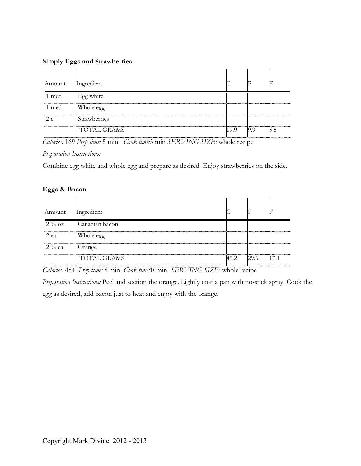#### **Simply Eggs and Strawberries**

| Amount | Ingredient          |  |  |
|--------|---------------------|--|--|
| 1 med  | Egg white           |  |  |
| 1 med  | Whole egg           |  |  |
|        | <b>Strawberries</b> |  |  |
|        | <b>TOTAL GRAMS</b>  |  |  |

*Calories:* 169 *Prep time:* 5 min *Cook time:*5 min *SERVING SIZE:* whole recipe

*Preparation Instructions:*

Combine egg white and whole egg and prepare as desired. Enjoy strawberries on the side.

# **Eggs & Bacon**

| Amount                                        | Ingredient         |      |      |      |
|-----------------------------------------------|--------------------|------|------|------|
| $2\frac{3}{4}$ oz                             | Canadian bacon     |      |      |      |
| ,,,,,,,,,,,,,,,,,,,,,,,,,,,,,,,,,,,,,<br>2 ea | Whole egg          |      |      |      |
| $2\frac{3}{4}$ ea                             | Orange             |      |      |      |
|                                               | <b>TOTAL GRAMS</b> | 45.2 | 29.6 | 17.1 |

*Calories:* 454 *Prep time:* 5 min *Cook time:*10min *SERVING SIZE:* whole recipe

*Preparation Instructions:* Peel and section the orange. Lightly coat a pan with no-stick spray. Cook the egg as desired, add bacon just to heat and enjoy with the orange.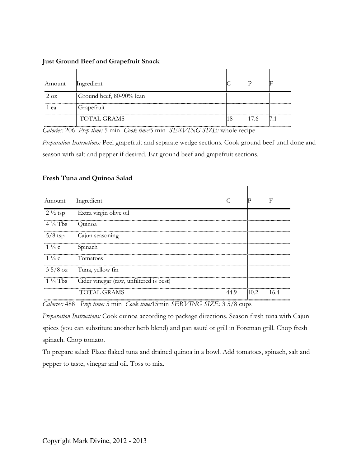| Just Ground Beef and Grapefruit Snack |  |  |  |
|---------------------------------------|--|--|--|
|                                       |  |  |  |
|                                       |  |  |  |

| Amount     | Ingredient               |      |  |
|------------|--------------------------|------|--|
| $2 \Omega$ | Ground beef, 80-90% lean |      |  |
| ea         | Grapefruit<br>           | <br> |  |
|            | <b>TOTAL GRAMS</b>       |      |  |

*Calories:* 206 *Prep time:* 5 min *Cook time:*5 min *SERVING SIZE:* whole recipe

*Preparation Instructions:* Peel grapefruit and separate wedge sections. Cook ground beef until done and season with salt and pepper if desired. Eat ground beef and grapefruit sections.

**Contractor** 

#### **Fresh Tuna and Quinoa Salad**

| Amount             | Ingredient                              |      |      |                             |
|--------------------|-----------------------------------------|------|------|-----------------------------|
| $2\frac{1}{2}$ tsp | Extra virgin olive oil                  |      |      |                             |
| $4\frac{3}{4}$ Tbs | <b>Ouinoa</b>                           |      |      |                             |
| $5/8$ tsp          | Cajun seasoning                         |      |      |                             |
| $1\frac{1}{4}c$    | Spinach                                 |      |      |                             |
| $1\frac{1}{4}c$    | <b>Tomatoes</b>                         |      |      |                             |
| $35/8$ oz          | Tuna, yellow fin                        |      |      |                             |
| $1\frac{1}{4}$ Tbs | Cider vinegar (raw, unfiltered is best) |      |      |                             |
|                    | TOTAL GRAMS                             | 14.9 | 40.2 | -------------------<br>16.4 |

*Calories:* 488 *Prep time:* 5 min *Cook time:*15min *SERVING SIZE:* 3 5/8 cups

*Preparation Instructions:* Cook quinoa according to package directions. Season fresh tuna with Cajun spices (you can substitute another herb blend) and pan sauté or grill in Foreman grill. Chop fresh spinach. Chop tomato.

To prepare salad: Place flaked tuna and drained quinoa in a bowl. Add tomatoes, spinach, salt and pepper to taste, vinegar and oil. Toss to mix.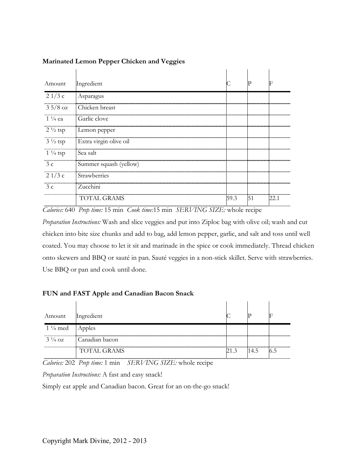| Amount                 | Ingredient                                               |                        |    |      |
|------------------------|----------------------------------------------------------|------------------------|----|------|
| 21/3c                  | Asparagus                                                |                        |    |      |
| <br>$35/8$ oz          | Chicken breast                                           |                        |    |      |
| $1\frac{1}{4}$ ea      | Garlic clove                                             |                        |    |      |
| $2\frac{1}{2}$ tsp     | Lemon pepper                                             |                        |    |      |
| $3\frac{1}{2}$ tsp     | Extra virgin olive oil                                   |                        |    |      |
| <br>$1\frac{1}{4}$ tsp | Sea salt                                                 |                        |    |      |
| 3c                     | Summer squash (yellow)                                   |                        |    |      |
| <br>21/3c              | ---------------------------------<br><b>Strawberries</b> | ---------------------- |    |      |
| 3c                     | Zucchini                                                 |                        |    |      |
|                        | <b>TOTAL GRAMS</b>                                       | 59.3                   | 51 | 22.1 |

# **Marinated Lemon Pepper Chicken and Veggies**

*Calories:* 640 *Prep time:* 15 min *Cook time:*15 min *SERVING SIZE:* whole recipe

*Preparation Instructions:* Wash and slice veggies and put into Ziploc bag with olive oil; wash and cut chicken into bite size chunks and add to bag, add lemon pepper, garlic, and salt and toss until well coated. You may choose to let it sit and marinade in the spice or cook immediately. Thread chicken onto skewers and BBQ or sauté in pan. Sauté veggies in a non-stick skillet. Serve with strawberries. Use BBQ or pan and cook until done.

# **FUN and FAST Apple and Canadian Bacon Snack**

| Amount                    | Ingredient                       |      |  |
|---------------------------|----------------------------------|------|--|
| $1\frac{1}{4}$ med Apples |                                  |      |  |
|                           | $3\frac{1}{4}$ oz Canadian bacon |      |  |
|                           | <b>TOTAL GRAMS</b>               | 14.5 |  |

*Calories:* 202 *Prep time:* 1 min *SERVING SIZE:* whole recipe

*Preparation Instructions:* A fast and easy snack!

Simply eat apple and Canadian bacon. Great for an on-the-go snack!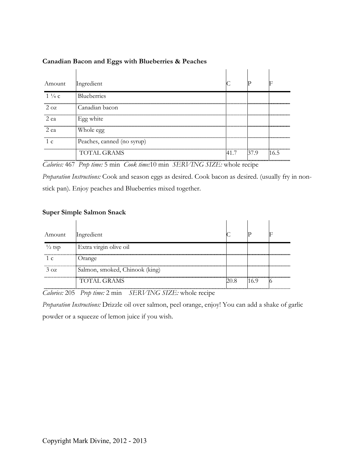| Amount          | Ingredient                 |      |      |     |
|-----------------|----------------------------|------|------|-----|
| $1\frac{1}{4}c$ | <b>Blueberries</b>         |      |      |     |
| $2 \Omega$      | Canadian bacon             |      |      |     |
| 2 ea            | Egg white                  |      |      |     |
| 2 ea            | Whole egg                  |      |      |     |
|                 | Peaches, canned (no syrup) |      |      |     |
|                 | TOTAL GRAMS                | 41.7 | 37 9 | 165 |

#### **Canadian Bacon and Eggs with Blueberries & Peaches**

*Calories:* 467 *Prep time:* 5 min *Cook time:*10 min *SERVING SIZE:* whole recipe

*Preparation Instructions:* Cook and season eggs as desired. Cook bacon as desired. (usually fry in nonstick pan). Enjoy peaches and Blueberries mixed together.

#### **Super Simple Salmon Snack**

| Amount            | Ingredient                         |  |  |
|-------------------|------------------------------------|--|--|
| $\frac{1}{2}$ tsp | Extra virgin olive oil             |  |  |
|                   | Orange                             |  |  |
| $3 \Omega$        | <br>Salmon, smoked, Chinook (king) |  |  |
|                   | <b>TOTAL GRAMS</b>                 |  |  |

*Calories:* 205 *Prep time:* 2 min *SERVING SIZE:* whole recipe

*Preparation Instructions:* Drizzle oil over salmon, peel orange, enjoy! You can add a shake of garlic powder or a squeeze of lemon juice if you wish.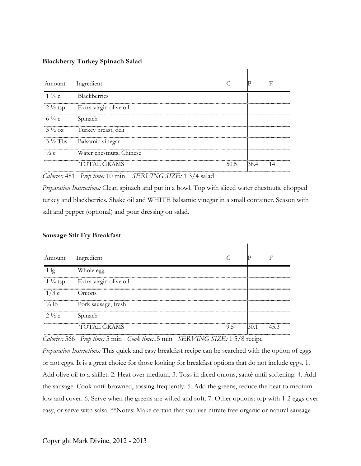#### **Blackberry Turkey Spinach Salad**

| Amount             | Ingredient               |      |      |  |
|--------------------|--------------------------|------|------|--|
| $1\frac{3}{4}c$    | Blackberries             |      |      |  |
| $2\frac{1}{2}$ tsp | Extra virgin olive oil   |      |      |  |
| $6\frac{3}{4}c$    | Spinach                  |      |      |  |
| $3\frac{1}{2}$ oz  | Turkey breast, deli      |      |      |  |
| $3\frac{1}{2}$ Tbs | Balsamic vinegar         |      |      |  |
| $\frac{1}{2}$ C    | Water chestnuts, Chinese |      |      |  |
|                    | TOTAL GRAMS              | 50.5 | 38 4 |  |

*Calories:* 481 *Prep time:* 10 min *SERVING SIZE:* 1 3/4 salad

*Preparation Instructions:* Clean spinach and put in a bowl. Top with sliced water chestnuts, chopped turkey and blackberries. Shake oil and WHITE balsamic vinegar in a small container. Season with salt and pepper (optional) and pour dressing on salad.

#### **Sausage Stir Fry Breakfast**

| Amount             | Ingredient             |          |  |
|--------------------|------------------------|----------|--|
|                    | Whole egg              |          |  |
| $1\frac{1}{4}$ tsp | Extra virgin olive oil |          |  |
| 1/3c               | Onions                 |          |  |
| $\frac{1}{4}$ lb   | Pork sausage, fresh    |          |  |
| $2\frac{1}{2}c$    | Spinach                |          |  |
|                    | TOTAL GRAMS            | <br>ר. ו |  |

*Calories:* 566 *Prep time:* 5 min *Cook time:*15 min *SERVING SIZE:* 1 5/8 recipe

*Preparation Instructions:* This quick and easy breakfast recipe can be searched with the option of eggs or not eggs. It is a great choice for those looking for breakfast options that do not include eggs. 1. Add olive oil to a skillet. 2. Heat over medium. 3. Toss in diced onions, sauté until softening. 4. Add the sausage. Cook until browned, tossing frequently. 5. Add the greens, reduce the heat to mediumlow and cover. 6. Serve when the greens are wilted and soft. 7. Other options: top with 1-2 eggs over easy, or serve with salsa. \*\*Notes: Make certain that you use nitrate free organic or natural sausage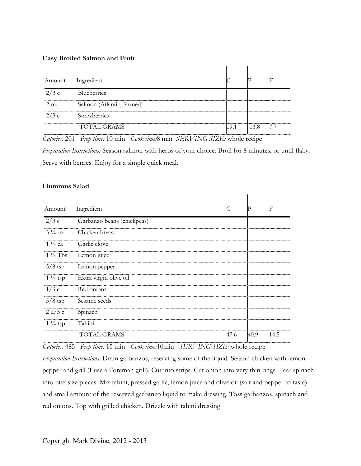#### **Easy Broiled Salmon and Fruit**

| Amount         | Ingredient                |      |      |     |
|----------------|---------------------------|------|------|-----|
| 2/3c           | Blueberries               |      |      |     |
| <br>$2 \Omega$ | Salmon (Atlantic, farmed) |      |      |     |
| 2/3c           | Strawberries              |      |      |     |
|                | <b>TOTAL GRAMS</b>        | 19.1 | 13.8 | 7.7 |

*Calories:* 201 *Prep time:* 10 min *Cook time:*8 min *SERVING SIZE:* whole recipe

*Preparation Instructions:* Season salmon with herbs of your choice. Broil for 8 minutes, or until flaky. Serve with berries. Enjoy for a simple quick meal.

#### **Hummus Salad**

| Amount                                                   | Ingredient                 |          |      |      |
|----------------------------------------------------------|----------------------------|----------|------|------|
| 2/3c                                                     | Garbanzo beans (chickpeas) |          |      |      |
| $3\frac{1}{4}$ oz                                        | Chicken breast             |          |      |      |
| $1\frac{1}{4}$ ea                                        | Garlic clove               |          |      |      |
| <br>$1\frac{1}{4}$ Tbs                                   | Lemon juice                |          |      |      |
| $5/8$ tsp                                                | Lemon pepper               |          |      |      |
| <br>$1\frac{1}{4}$ tsp                                   | Extra virgin olive oil     |          |      |      |
| 1/3c                                                     | Red onions                 |          |      |      |
| ,,,,,,,,,,,,,,,,,,,,,,,,,,,,,,,,,,<br>$5/8$ tsp          | Sesame seeds               |          |      |      |
| 22/3c                                                    | Spinach                    |          |      |      |
| ,,,,,,,,,,,,,,,,,,,,,,,,,,,,,,,,,,<br>$1\frac{1}{4}$ tsp | Tahini                     |          |      |      |
|                                                          | TOTAL GRAMS                | <br>47.6 | 40.9 | 14.5 |

*Calories:* 485 *Prep time:* 15 min *Cook time:*10min *SERVING SIZE:* whole recipe

*Preparation Instructions:* Drain garbanzos, reserving some of the liquid. Season chicken with lemon pepper and grill (I use a Foreman grill). Cut into strips. Cut onion into very thin rings. Tear spinach into bite-size pieces. Mix tahini, pressed garlic, lemon juice and olive oil (salt and pepper to taste) and small amount of the reserved garbanzo liquid to make dressing. Toss garbanzos, spinach and red onions. Top with grilled chicken. Drizzle with tahini dressing.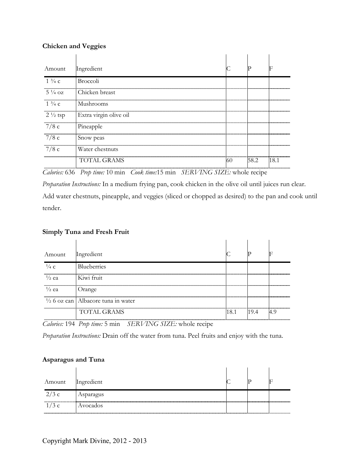# **Chicken and Veggies**

| Amount             | Ingredient             |      |      |
|--------------------|------------------------|------|------|
| $1\frac{3}{4}c$    | <b>Broccoli</b>        |      |      |
| $5\frac{1}{4}$ OZ  | Chicken breast         |      |      |
| $1\frac{3}{4}$ C   | Mushrooms              |      |      |
| $2\frac{1}{2}$ tsp | Extra virgin olive oil |      |      |
| 7/8c               | Pineapple              |      |      |
| 7/8c               | Snow peas              |      |      |
| 7/8c               | Water chestnuts        |      |      |
|                    | TOTAL GRAMS            | 58.2 | 18.1 |

*Calories:* 636 *Prep time:* 10 min *Cook time:*15 min *SERVING SIZE:* whole recipe

*Preparation Instructions:* In a medium frying pan, cook chicken in the olive oil until juices run clear. Add water chestnuts, pineapple, and veggies (sliced or chopped as desired) to the pan and cook until tender.

# **Simply Tuna and Fresh Fruit**

| Amount           | Ingredient                                          |      |     |  |
|------------------|-----------------------------------------------------|------|-----|--|
| $\frac{1}{4}$ C  | <b>Blueberries</b>                                  |      |     |  |
| $\frac{1}{2}$ ea | Kiwi fruit                                          |      |     |  |
| $\frac{1}{2}$ ea | Orange                                              |      |     |  |
|                  | $\frac{1}{2}$ 6 oz can   Albacore tuna in water<br> |      |     |  |
|                  | TOTAL GRAMS                                         | 18.1 | 194 |  |

*Calories:* 194 *Prep time:* 5 min *SERVING SIZE:* whole recipe

*Preparation Instructions:* Drain off the water from tuna. Peel fruits and enjoy with the tuna.

# **Asparagus and Tuna**

| Amount | Ingredient |  |  |
|--------|------------|--|--|
| 2/3c   | Asparagus  |  |  |
|        | Avocados   |  |  |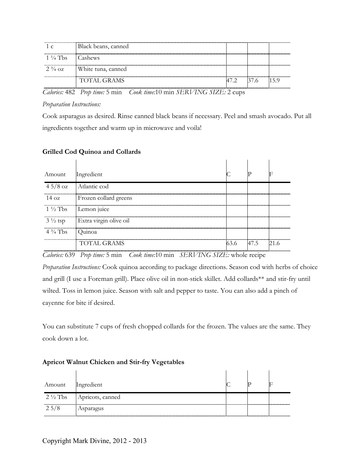|                                     | Black beans, canned                  |  |      |
|-------------------------------------|--------------------------------------|--|------|
| $1\frac{1}{4}$ Tbs $\qquad$ Cashews |                                      |  |      |
|                                     | $2\frac{3}{4}$ oz White tuna, canned |  |      |
|                                     | <b>TOTAL GRAMS</b>                   |  | 15 Y |

*Calories:* 482 *Prep time:* 5 min *Cook time:*10 min *SERVING SIZE:* 2 cups

#### *Preparation Instructions:*

Cook asparagus as desired. Rinse canned black beans if necessary. Peel and smash avocado. Put all ingredients together and warm up in microwave and voila!

#### **Grilled Cod Quinoa and Collards**

| Amount             | Ingredient             |      |      |  |
|--------------------|------------------------|------|------|--|
|                    | $45/8$ oz Atlantic cod |      |      |  |
| $14 \text{ oz}$    | Frozen collard greens  |      |      |  |
| $1\frac{1}{2}$ Tbs | Lemon juice            |      |      |  |
| $3\frac{1}{2}$ tsp | Extra virgin olive oil |      |      |  |
| $4\frac{3}{4}$ Tbs | - Ouinoa               |      |      |  |
|                    | TOTAL GRAMS            | 53 G | 47.5 |  |

*Calories:* 639 *Prep time:* 5 min *Cook time:*10 min *SERVING SIZE:* whole recipe

*Preparation Instructions:* Cook quinoa according to package directions. Season cod with herbs of choice and grill (I use a Foreman grill). Place olive oil in non-stick skillet. Add collards\*\* and stir-fry until wilted. Toss in lemon juice. Season with salt and pepper to taste. You can also add a pinch of cayenne for bite if desired.

You can substitute 7 cups of fresh chopped collards for the frozen. The values are the same. They cook down a lot.

| Amount             | Ingredient       |  |  |
|--------------------|------------------|--|--|
| $2\frac{1}{2}$ Tbs | Apricots, canned |  |  |
| $2\frac{5}{8}$     | Asparagus        |  |  |

#### **Apricot Walnut Chicken and Stir-fry Vegetables**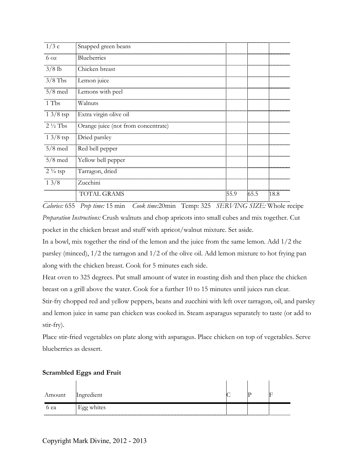| Blueberries<br>$6\,\text{oz}$                             |      |
|-----------------------------------------------------------|------|
|                                                           |      |
| $3/8$ lb<br>Chicken breast                                |      |
| $3/8$ Tbs<br>Lemon juice                                  |      |
| $5/8$ med<br>Lemons with peel                             |      |
| 1 Tbs<br>Walnuts                                          |      |
| $13/8$ tsp<br>Extra virgin olive oil                      |      |
| $2\frac{1}{2}$ Tbs<br>Orange juice (not from concentrate) |      |
| $13/8$ tsp<br>Dried parsley                               |      |
| $5/8$ med<br>Red bell pepper                              |      |
| $5/8$ med<br>Yellow bell pepper                           |      |
| Tarragon, dried<br>$2\frac{3}{4}$ tsp                     |      |
| 13/8<br>Zucchini                                          |      |
| <b>TOTAL GRAMS</b><br>65.5<br>55.9                        | 18.8 |

*Calories:* 655 *Prep time:* 15 min *Cook time:*20min Temp: 325 *SERVING SIZE:* Whole recipe *Preparation Instructions:* Crush walnuts and chop apricots into small cubes and mix together. Cut pocket in the chicken breast and stuff with apricot/walnut mixture. Set aside.

In a bowl, mix together the rind of the lemon and the juice from the same lemon. Add 1/2 the parsley (minced), 1/2 the tarragon and 1/2 of the olive oil. Add lemon mixture to hot frying pan along with the chicken breast. Cook for 5 minutes each side.

Heat oven to 325 degrees. Put small amount of water in roasting dish and then place the chicken breast on a grill above the water. Cook for a further 10 to 15 minutes until juices run clear.

Stir-fry chopped red and yellow peppers, beans and zucchini with left over tarragon, oil, and parsley and lemon juice in same pan chicken was cooked in. Steam asparagus separately to taste (or add to stir-fry).

Place stir-fried vegetables on plate along with asparagus. Place chicken on top of vegetables. Serve blueberries as dessert.

#### **Scrambled Eggs and Fruit**

| Amount Ingredient |            |  |  |
|-------------------|------------|--|--|
| 6 ea              | Egg whites |  |  |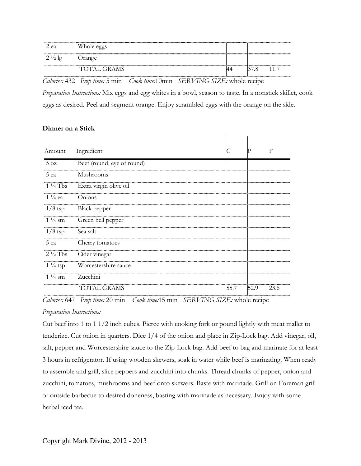| z ea | Whole eggs         |  |  |
|------|--------------------|--|--|
|      | Jrange             |  |  |
|      | <b>TOTAL GRAMS</b> |  |  |

*Calories:* 432 *Prep time:* 5 min *Cook time:*10min *SERVING SIZE:* whole recipe

*Preparation Instructions:* Mix eggs and egg whites in a bowl, season to taste. In a nonstick skillet, cook eggs as desired. Peel and segment orange. Enjoy scrambled eggs with the orange on the side.

#### **Dinner on a Stick**

| Amount                                                    | Ingredient                 |      |      |      |
|-----------------------------------------------------------|----------------------------|------|------|------|
| $5\,\mathrm{oz}$                                          | Beef (round, eye of round) |      |      |      |
| 5 ea                                                      | Mushrooms                  |      |      |      |
| ,,,,,,,,,,,,,,,,,,,,,,,,,,,,,,,,,,<br>$1\frac{1}{4}$ Tbs  | Extra virgin olive oil     |      |      |      |
| $1\frac{1}{4}$ ea                                         | Onions                     |      |      |      |
| <br>$1/8$ tsp                                             | Black pepper               |      |      |      |
| $1\frac{1}{4}$ sm                                         | Green bell pepper          |      |      |      |
| $1/8$ tsp                                                 | Sea salt                   |      |      |      |
| 5 ea                                                      | Cherry tomatoes            |      |      |      |
| $2\frac{1}{2}$ Tbs                                        | Cider vinegar              |      |      |      |
| ,,,,,,,,,,,,,,,,,,,,,,,,,,,,,,,,,,,<br>$1\frac{1}{4}$ tsp | Worcestershire sauce       |      |      |      |
| $1\frac{1}{4}$ sm                                         | Zucchini                   |      |      |      |
|                                                           | <b>TOTAL GRAMS</b>         | 55.7 | 52.9 | 23.6 |

*Calories:* 647 *Prep time:* 20 min *Cook time:*15 min *SERVING SIZE:* whole recipe

# *Preparation Instructions:*

Cut beef into 1 to 1 1/2 inch cubes. Pierce with cooking fork or pound lightly with meat mallet to tenderize. Cut onion in quarters. Dice 1/4 of the onion and place in Zip-Lock bag. Add vinegar, oil, salt, pepper and Worcestershire sauce to the Zip-Lock bag. Add beef to bag and marinate for at least 3 hours in refrigerator. If using wooden skewers, soak in water while beef is marinating. When ready to assemble and grill, slice peppers and zucchini into chunks. Thread chunks of pepper, onion and zucchini, tomatoes, mushrooms and beef onto skewers. Baste with marinade. Grill on Foreman grill or outside barbecue to desired doneness, basting with marinade as necessary. Enjoy with some herbal iced tea.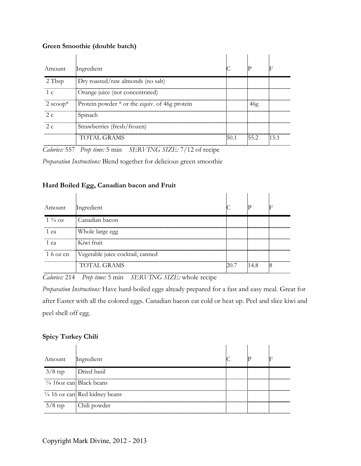#### **Green Smoothie (double batch)**

| Amount                                 | Ingredient                                      |                 |  |
|----------------------------------------|-------------------------------------------------|-----------------|--|
| 2 Tbsp                                 | Dry roasted/raw almonds (no salt)               |                 |  |
| --------------------------------<br>1c | Orange juice (not concentrated)                 |                 |  |
| 2 $\text{scope}^*$                     | Protein powder $*$ or the equiv. of 46g protein |                 |  |
| 2 $\epsilon$                           | .<br>Spinach                                    |                 |  |
| 2 $\epsilon$                           | Strawberries (fresh/frozen)                     |                 |  |
|                                        | TOTAL GRAMS                                     | 50.1 55.2 115.1 |  |

*Calories:* 557 *Prep time:* 5 min *SERVING SIZE:* 7/12 of recipe

*Preparation Instructions:* Blend together for delicious green smoothie

# **Hard Boiled Egg, Canadian bacon and Fruit**

| Amount                                        | Ingredient                                 |                           |  |
|-----------------------------------------------|--------------------------------------------|---------------------------|--|
| $1\frac{3}{4}$ oz                             | Canadian bacon                             |                           |  |
| 1 ea                                          | Whole large egg                            | ------------------------- |  |
| ,,,,,,,,,,,,,,,,,,,,,,,,,,,,,,,,,,,,,<br>1 ea | Kiwi fruit                                 |                           |  |
|                                               | 1 6 oz cn Vegetable juice cocktail, canned |                           |  |
|                                               | <b>TOTAL GRAMS</b>                         | 14 8                      |  |

*Calories:* 214 *Prep time:* 5 min *SERVING SIZE:* whole recipe

*Preparation Instructions:* Have hard-boiled eggs already prepared for a fast and easy meal. Great for after Easter with all the colored eggs. Canadian bacon eat cold or heat up. Peel and slice kiwi and peel shell off egg.

# **Spicy Turkey Chili**

| Amount                       | Ingredient                               |  |  |
|------------------------------|------------------------------------------|--|--|
| $3/8$ tsp $\Box$ Dried basil |                                          |  |  |
|                              | $\frac{1}{4}$ 160z can Black beans       |  |  |
|                              | $\frac{1}{4}$ 16 oz can Red kidney beans |  |  |
| $5/8$ tsp                    | Chili powder                             |  |  |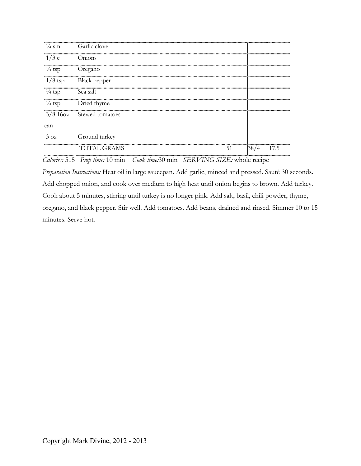| $\frac{1}{4}$ sm      | Garlic clove             |  |  |
|-----------------------|--------------------------|--|--|
| 1/3c                  | Onions                   |  |  |
| $\frac{1}{4}$ tsp     | Oregano                  |  |  |
| $1/8$ tsp             | Black pepper             |  |  |
| <br>$\frac{1}{4}$ tsp | Sea salt                 |  |  |
| $\frac{1}{4}$ tsp     | Dried thyme              |  |  |
|                       | 3/8 16oz Stewed tomatoes |  |  |
| can                   |                          |  |  |
| $3 \text{ oz}$        | Ground turkey            |  |  |
|                       | FAL GRAMS                |  |  |

*Calories:* 515 *Prep time:* 10 min *Cook time:*30 min *SERVING SIZE:* whole recipe

*Preparation Instructions:* Heat oil in large saucepan. Add garlic, minced and pressed. Sauté 30 seconds. Add chopped onion, and cook over medium to high heat until onion begins to brown. Add turkey. Cook about 5 minutes, stirring until turkey is no longer pink. Add salt, basil, chili powder, thyme, oregano, and black pepper. Stir well. Add tomatoes. Add beans, drained and rinsed. Simmer 10 to 15 minutes. Serve hot.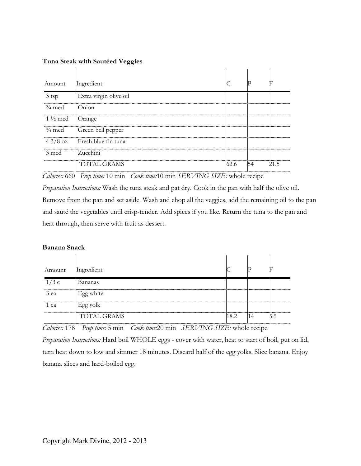### **Tuna Steak with Sautéed Veggies**

| Amount             | Ingredient             |  |  |
|--------------------|------------------------|--|--|
| 3 tsp              | Extra virgin olive oil |  |  |
| $\frac{3}{4}$ med  | Onton                  |  |  |
| $1\frac{1}{2}$ med | Orange                 |  |  |
| $\frac{3}{4}$ med  | Green bell pepper      |  |  |
| $43/8$ oz          | Fresh blue fin tuna    |  |  |
| $\beta$ med        | Zucchini               |  |  |
|                    | TOTAL GRAMS            |  |  |

*Calories:* 660 *Prep time:* 10 min *Cook time:*10 min *SERVING SIZE:* whole recipe

*Preparation Instructions:* Wash the tuna steak and pat dry. Cook in the pan with half the olive oil. Remove from the pan and set aside. Wash and chop all the veggies, add the remaining oil to the pan and sauté the vegetables until crisp-tender. Add spices if you like. Return the tuna to the pan and heat through, then serve with fruit as dessert.

#### **Banana Snack**

| Amount | Ingredient         |       |  |
|--------|--------------------|-------|--|
| 1/3c   | Bananas            |       |  |
| 3 ea   | Egg white          |       |  |
| ea     | Egg yolk           |       |  |
|        | <b>TOTAL GRAMS</b> | 18.2. |  |

*Calories:* 178 *Prep time:* 5 min *Cook time:*20 min *SERVING SIZE:* whole recipe

*Preparation Instructions:* Hard boil WHOLE eggs - cover with water, heat to start of boil, put on lid, turn heat down to low and simmer 18 minutes. Discard half of the egg yolks. Slice banana. Enjoy banana slices and hard-boiled egg.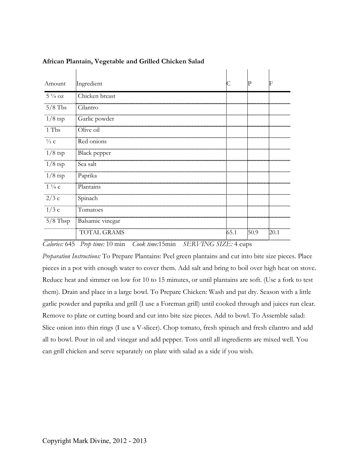| Amount            | Ingredient         |      | р    | F    |
|-------------------|--------------------|------|------|------|
| $5\frac{1}{4}$ oz | Chicken breast     |      |      |      |
| $5/8$ Tbs         | Cilantro           |      |      |      |
| $1/8$ tsp         | Garlic powder      |      |      |      |
| 1 Tbs             | Olive oil          |      |      |      |
| $\frac{1}{2}$ c   | Red onions         |      |      |      |
| $1/8$ tsp         | Black pepper       |      |      |      |
| $1/8$ tsp         | Sea salt           |      |      |      |
| $1/8$ tsp         | Paprika            |      |      |      |
| $1\frac{1}{4}c$   | Plantains          |      |      |      |
| 2/3c              | Spinach            |      |      |      |
| 1/3c              | Tomatoes           |      |      |      |
| $5/8$ Tbsp        | Balsamic vinegar   |      |      |      |
|                   | <b>TOTAL GRAMS</b> | 65.1 | 50.9 | 20.1 |
|                   |                    |      |      |      |

 $\sim 10^{-1}$ 

#### **African Plantain, Vegetable and Grilled Chicken Salad**

*Calories:* 645 *Prep time:* 10 min *Cook time:*15min *SERVING SIZE:* 4 cups

*Preparation Instructions:* To Prepare Plantains: Peel green plantains and cut into bite size pieces. Place pieces in a pot with enough water to cover them. Add salt and bring to boil over high heat on stove. Reduce heat and simmer on low for 10 to 15 minutes, or until plantains are soft. (Use a fork to test them). Drain and place in a large bowl. To Prepare Chicken: Wash and pat dry. Season with a little garlic powder and paprika and grill (I use a Foreman grill) until cooked through and juices run clear. Remove to plate or cutting board and cut into bite size pieces. Add to bowl. To Assemble salad: Slice onion into thin rings (I use a V-slicer). Chop tomato, fresh spinach and fresh cilantro and add all to bowl. Pour in oil and vinegar and add pepper. Toss until all ingredients are mixed well. You can grill chicken and serve separately on plate with salad as a side if you wish.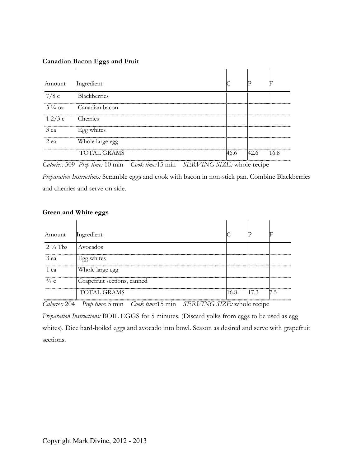#### **Canadian Bacon Eggs and Fruit**

| Amount            | Ingredient      |      |      |      |
|-------------------|-----------------|------|------|------|
| 7/8c              | Blackberries    |      |      |      |
| $3\frac{1}{4}$ oz | Canadian bacon  |      |      |      |
| 12/3c             | Cherries        |      |      |      |
| 3 ea              | Egg whites      |      |      |      |
| 2 ea              | Whole large egg |      |      |      |
|                   | TOTAL GRAMS     | 46.6 | 42.6 | 16.8 |

*Calories:* 509 *Prep time:* 10 min *Cook time:*15 min *SERVING SIZE:* whole recipe

*Preparation Instructions:* Scramble eggs and cook with bacon in non-stick pan. Combine Blackberries and cherries and serve on side.

#### **Green and White eggs**

| Amount             | Ingredient                  |      |      |     |
|--------------------|-----------------------------|------|------|-----|
| $2\frac{1}{4}$ Tbs | <b>Avocados</b>             |      |      |     |
| 3 ea               | Egg whites                  |      |      |     |
| 1 ea               | Whole large egg             |      |      |     |
| $^{3}/_{4}$ C      | Grapefruit sections, canned |      |      |     |
|                    | <b>TOTAL GRAMS</b>          | 16.8 | 17.3 | 7.5 |

*Calories:* 204 *Prep time:* 5 min *Cook time:*15 min *SERVING SIZE:* whole recipe *Preparation Instructions:* BOIL EGGS for 5 minutes. (Discard yolks from eggs to be used as egg whites). Dice hard-boiled eggs and avocado into bowl. Season as desired and serve with grapefruit sections.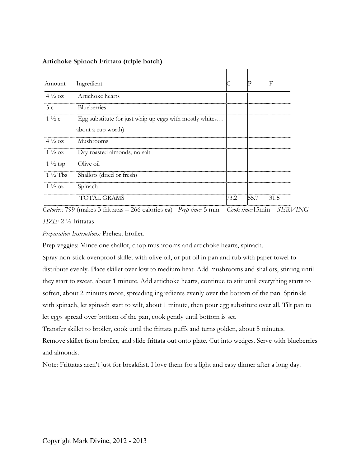| Amount                     | Ingredient                                                                    |      |      |             |
|----------------------------|-------------------------------------------------------------------------------|------|------|-------------|
| $4\frac{1}{2}$ oz          | Artichoke hearts                                                              |      |      |             |
| <b></b><br>$\frac{3}{2}$ c | <b>Blueberries</b>                                                            |      |      |             |
| $1\frac{1}{2}c$            | Egg substitute (or just whip up eggs with mostly whites<br>about a cup worth) |      |      |             |
| <br>$4\frac{1}{2}$ oz      | Mushrooms                                                                     |      |      |             |
| $1\frac{1}{2}$ oz          | Dry roasted almonds, no salt                                                  |      |      |             |
| $1\frac{1}{2}$ tsp         | Olive oil                                                                     |      |      |             |
| $1\frac{1}{2}$ Tbs         | Shallots (dried or fresh)                                                     |      |      |             |
| <br>$1\frac{1}{2}$ oz      | Spinach                                                                       |      |      |             |
|                            | TOTAL GRAMS                                                                   | 73.2 | 55.7 | <b>31.5</b> |

#### **Artichoke Spinach Frittata (triple batch)**

*Calories:* 799 (makes 3 frittatas – 266 calories ea) *Prep time:* 5 min *Cook time:*15min *SERVING SIZE:* 2 ½ frittatas

*Preparation Instructions:* Preheat broiler.

Prep veggies: Mince one shallot, chop mushrooms and artichoke hearts, spinach.

Spray non-stick ovenproof skillet with olive oil, or put oil in pan and rub with paper towel to distribute evenly. Place skillet over low to medium heat. Add mushrooms and shallots, stirring until they start to sweat, about 1 minute. Add artichoke hearts, continue to stir until everything starts to soften, about 2 minutes more, spreading ingredients evenly over the bottom of the pan. Sprinkle with spinach, let spinach start to wilt, about 1 minute, then pour egg substitute over all. Tilt pan to let eggs spread over bottom of the pan, cook gently until bottom is set.

Transfer skillet to broiler, cook until the frittata puffs and turns golden, about 5 minutes. Remove skillet from broiler, and slide frittata out onto plate. Cut into wedges. Serve with blueberries and almonds.

Note: Frittatas aren't just for breakfast. I love them for a light and easy dinner after a long day.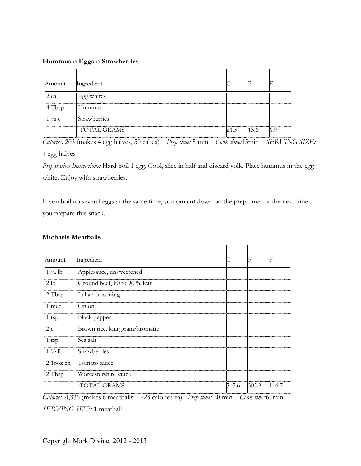#### **Hummus n Eggs n Strawberries**

| Amount          | Ingredient          |     |  |
|-----------------|---------------------|-----|--|
| 2 еа            | Egg whites          |     |  |
| bsp:            | Hummus              |     |  |
| $1\frac{1}{2}c$ | <b>Strawberries</b> |     |  |
|                 | <b>TOTAL GRAMS</b>  | 215 |  |

*Calories:* 203 (makes 4 egg halves, 50 cal ea) *Prep time:* 5 min *Cook time:*15min *SERVING SIZE:*  4 egg halves

*Preparation Instructions:* Hard boil 1 egg. Cool, slice in half and discard yolk. Place hummus in the egg white. Enjoy with strawberries.

If you boil up several eggs at the same time, you can cut down on the prep time for the next time you prepare this snack.

| Amount                                     | Ingredient                      |       |       | F     |
|--------------------------------------------|---------------------------------|-------|-------|-------|
| $1\frac{1}{2}$ lb                          | Applesauce, unsweetened         |       |       |       |
| 2 <sub>1b</sub>                            | Ground beef, 80 to 90 % lean    |       |       |       |
| 2 Tbsp                                     | Italian seasoning               |       |       |       |
| 1 med                                      | Onion                           |       |       |       |
| ---------------------------------<br>1 tsp | Black pepper                    |       |       |       |
| 2 c                                        | Brown rice, long grain/aromatic |       |       |       |
| 1 tsp                                      | Sea salt                        |       |       |       |
| $1\frac{1}{2}$ lb                          | Strawberries                    |       |       |       |
| $216$ oz cn                                | Tomato sauce                    |       |       |       |
| $2$ Tbsp                                   | Worcestershire sauce            |       |       |       |
|                                            | <b>TOTAL GRAMS</b>              | 515.6 | 305.9 | 116.7 |

#### **Michaels Meatballs**

*Calories:* 4,336 (makes 6 meatballs – 723 calories ea) *Prep time:* 20 min *Cook time:*60min

*SERVING SIZE:* 1 meatball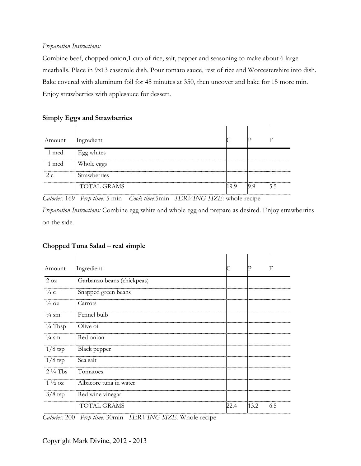#### *Preparation Instructions:*

Combine beef, chopped onion,1 cup of rice, salt, pepper and seasoning to make about 6 large meatballs. Place in 9x13 casserole dish. Pour tomato sauce, rest of rice and Worcestershire into dish. Bake covered with aluminum foil for 45 minutes at 350, then uncover and bake for 15 more min. Enjoy strawberries with applesauce for dessert.

#### **Simply Eggs and Strawberries**

| Amount Ingredient |                     |     |      |    |
|-------------------|---------------------|-----|------|----|
| 1 med             | Egg whites          |     |      |    |
| 1 med             | Whole eggs          |     |      |    |
|                   | <b>Strawberries</b> |     |      |    |
|                   | <b>TOTAL GRAMS</b>  | 199 | -9.9 | 55 |

*Calories:* 169 *Prep time:* 5 min *Cook time:*5min *SERVING SIZE:* whole recipe

*Preparation Instructions:* Combine egg white and whole egg and prepare as desired. Enjoy strawberries on the side.

# **Chopped Tuna Salad – real simple**

| Amount             | Ingredient                 |      |      | F   |
|--------------------|----------------------------|------|------|-----|
| $2 \text{ oz}$     | Garbanzo beans (chickpeas) |      |      |     |
| $\frac{1}{4}$ C    | Snapped green beans        |      |      |     |
| $\frac{1}{2}$ OZ   | Carrots                    |      |      |     |
| $\frac{1}{4}$ sm   | Fennel bulb                |      |      |     |
| $\frac{1}{4}$ Tbsp | Olive oil                  |      |      |     |
| $\frac{1}{4}$ sm   | Red onion                  |      |      |     |
| $1/8$ tsp          | <b>Black</b> pepper        |      |      |     |
| $1/8$ tsp          | Sea salt                   |      |      |     |
| $2\frac{1}{4}$ Tbs | Tomatoes                   |      |      |     |
| $1\frac{1}{2}$ oz  | Albacore tuna in water     |      |      |     |
| $3/8$ tsp          | Red wine vinegar           |      |      |     |
|                    | <b>TOTAL GRAMS</b>         | 22.4 | 13.2 | 6.5 |

*Calories:* 200 *Prep time:* 30min *SERVING SIZE:* Whole recipe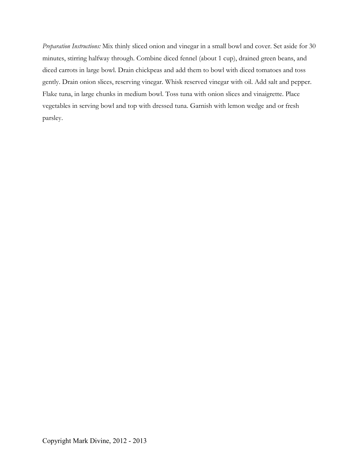*Preparation Instructions:* Mix thinly sliced onion and vinegar in a small bowl and cover. Set aside for 30 minutes, stirring halfway through. Combine diced fennel (about 1 cup), drained green beans, and diced carrots in large bowl. Drain chickpeas and add them to bowl with diced tomatoes and toss gently. Drain onion slices, reserving vinegar. Whisk reserved vinegar with oil. Add salt and pepper. Flake tuna, in large chunks in medium bowl. Toss tuna with onion slices and vinaigrette. Place vegetables in serving bowl and top with dressed tuna. Garnish with lemon wedge and or fresh parsley.